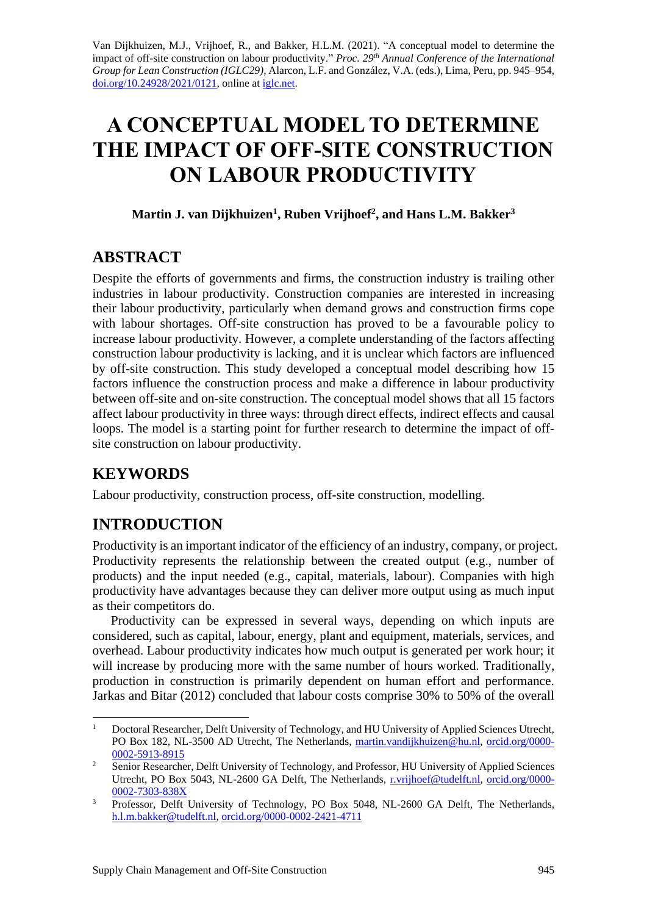Van Dijkhuizen, M.J., Vrijhoef, R., and Bakker, H.L.M. (2021). "A conceptual model to determine the impact of off-site construction on labour productivity." *Proc. 29 th Annual Conference of the International Group for Lean Construction (IGLC29),* Alarcon, L.F. and González, V.A. (eds.)*,* Lima, Peru, pp. 945–954, [doi.org/10.24928/2021/0121,](https://doi.org/10.24928/2021/0121) online a[t iglc.net.](http://iglc.net/)

# **A CONCEPTUAL MODEL TO DETERMINE THE IMPACT OF OFF-SITE CONSTRUCTION ON LABOUR PRODUCTIVITY**

#### **Martin J. van Dijkhuizen<sup>1</sup> , Ruben Vrijhoef<sup>2</sup> , and Hans L.M. Bakker<sup>3</sup>**

## **ABSTRACT**

Despite the efforts of governments and firms, the construction industry is trailing other industries in labour productivity. Construction companies are interested in increasing their labour productivity, particularly when demand grows and construction firms cope with labour shortages. Off-site construction has proved to be a favourable policy to increase labour productivity. However, a complete understanding of the factors affecting construction labour productivity is lacking, and it is unclear which factors are influenced by off-site construction. This study developed a conceptual model describing how 15 factors influence the construction process and make a difference in labour productivity between off-site and on-site construction. The conceptual model shows that all 15 factors affect labour productivity in three ways: through direct effects, indirect effects and causal loops. The model is a starting point for further research to determine the impact of offsite construction on labour productivity.

# **KEYWORDS**

Labour productivity, construction process, off-site construction, modelling.

# **INTRODUCTION**

Productivity is an important indicator of the efficiency of an industry, company, or project. Productivity represents the relationship between the created output (e.g., number of products) and the input needed (e.g., capital, materials, labour). Companies with high productivity have advantages because they can deliver more output using as much input as their competitors do.

Productivity can be expressed in several ways, depending on which inputs are considered, such as capital, labour, energy, plant and equipment, materials, services, and overhead. Labour productivity indicates how much output is generated per work hour; it will increase by producing more with the same number of hours worked. Traditionally, production in construction is primarily dependent on human effort and performance. Jarkas and Bitar (2012) concluded that labour costs comprise 30% to 50% of the overall

<sup>&</sup>lt;sup>1</sup> Doctoral Researcher, Delft University of Technology, and HU University of Applied Sciences Utrecht, PO Box 182, NL-3500 AD Utrecht, The Netherlands, [martin.vandijkhuizen@hu.nl,](mailto:martin.vandijkhuizen@hu.nl) [orcid.org/0000-](http://orcid.org/0000-0002-5913-8915) [0002-5913-8915](http://orcid.org/0000-0002-5913-8915)

<sup>&</sup>lt;sup>2</sup> Senior Researcher, Delft University of Technology, and Professor, HU University of Applied Sciences Utrecht, PO Box 5043, NL-2600 GA Delft, The Netherlands, [r.vrijhoef@tudelft.nl,](mailto:r.vrijhoef@tudelft.nl) [orcid.org/0000-](https://orcid.org/0000-0002-7303-838X) [0002-7303-838X](https://orcid.org/0000-0002-7303-838X)

<sup>&</sup>lt;sup>3</sup> Professor, Delft University of Technology, PO Box 5048, NL-2600 GA Delft, The Netherlands, [h.l.m.bakker@tudelft.nl,](mailto:h.l.m.bakker@tudelft.nl) [orcid.org/0000-0002-2421-4711](https://orcid.org/0000-0002-2421-4711)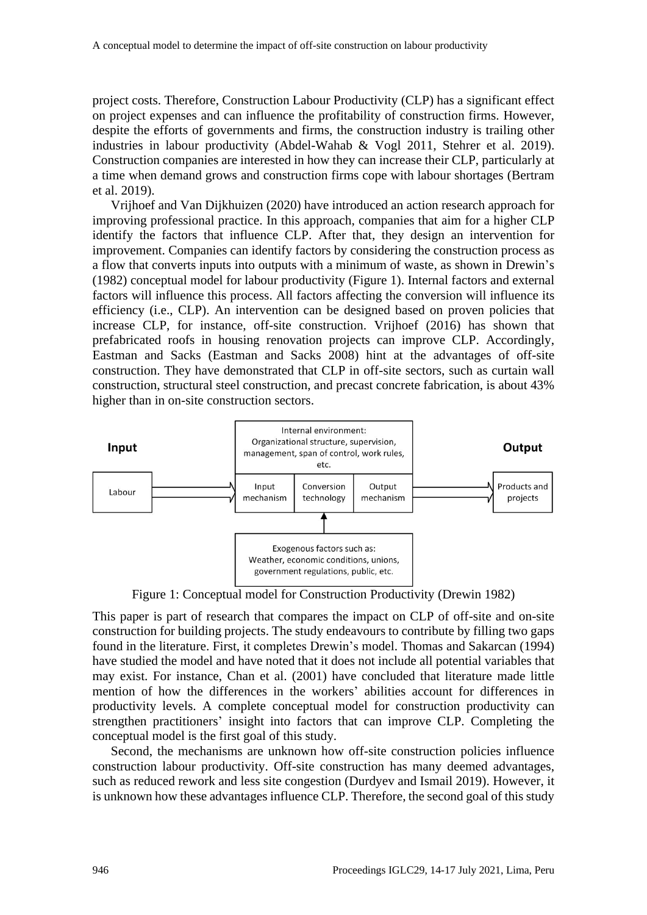project costs. Therefore, Construction Labour Productivity (CLP) has a significant effect on project expenses and can influence the profitability of construction firms. However, despite the efforts of governments and firms, the construction industry is trailing other industries in labour productivity (Abdel-Wahab & Vogl 2011, Stehrer et al. 2019). Construction companies are interested in how they can increase their CLP, particularly at a time when demand grows and construction firms cope with labour shortages (Bertram et al. 2019).

Vrijhoef and Van Dijkhuizen (2020) have introduced an action research approach for improving professional practice. In this approach, companies that aim for a higher CLP identify the factors that influence CLP. After that, they design an intervention for improvement. Companies can identify factors by considering the construction process as a flow that converts inputs into outputs with a minimum of waste, as shown in Drewin's (1982) conceptual model for labour productivity [\(Figure 1\)](#page-1-0). Internal factors and external factors will influence this process. All factors affecting the conversion will influence its efficiency (i.e., CLP). An intervention can be designed based on proven policies that increase CLP, for instance, off-site construction. Vrijhoef (2016) has shown that prefabricated roofs in housing renovation projects can improve CLP. Accordingly, Eastman and Sacks (Eastman and Sacks 2008) hint at the advantages of off-site construction. They have demonstrated that CLP in off-site sectors, such as curtain wall construction, structural steel construction, and precast concrete fabrication, is about 43% higher than in on-site construction sectors.



Figure 1: Conceptual model for Construction Productivity (Drewin 1982)

<span id="page-1-0"></span>This paper is part of research that compares the impact on CLP of off-site and on-site construction for building projects. The study endeavours to contribute by filling two gaps found in the literature. First, it completes Drewin's model. Thomas and Sakarcan (1994) have studied the model and have noted that it does not include all potential variables that may exist. For instance, Chan et al. (2001) have concluded that literature made little mention of how the differences in the workers' abilities account for differences in productivity levels. A complete conceptual model for construction productivity can strengthen practitioners' insight into factors that can improve CLP. Completing the conceptual model is the first goal of this study.

Second, the mechanisms are unknown how off-site construction policies influence construction labour productivity. Off-site construction has many deemed advantages, such as reduced rework and less site congestion (Durdyev and Ismail 2019). However, it is unknown how these advantages influence CLP. Therefore, the second goal of this study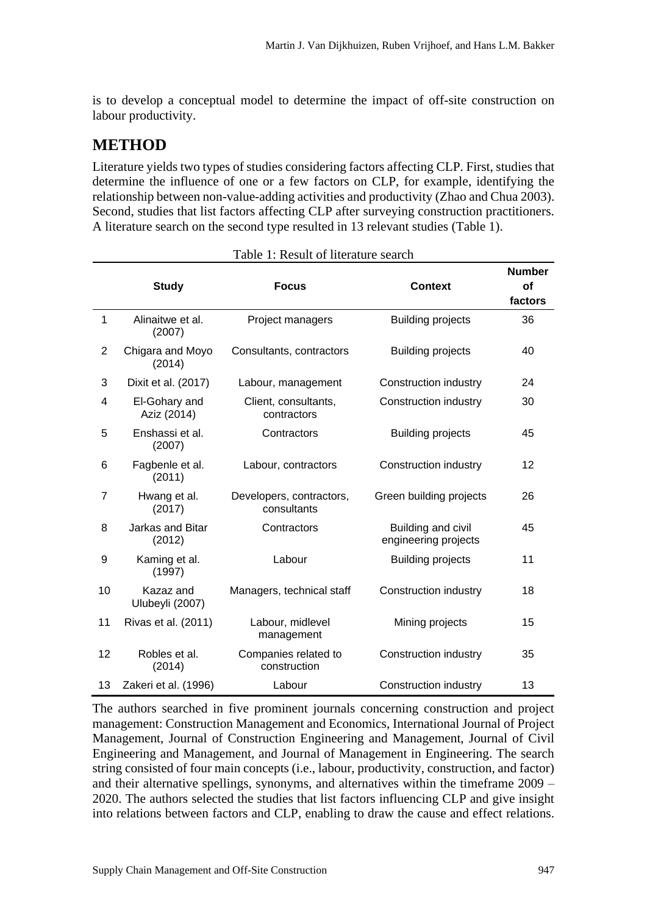is to develop a conceptual model to determine the impact of off-site construction on labour productivity.

# **METHOD**

Literature yields two types of studies considering factors affecting CLP. First, studies that determine the influence of one or a few factors on CLP, for example, identifying the relationship between non-value-adding activities and productivity (Zhao and Chua 2003). Second, studies that list factors affecting CLP after surveying construction practitioners. A literature search on the second type resulted in 13 relevant studies [\(Table 1\)](#page-2-0).

<span id="page-2-0"></span>

|                | <b>Study</b>                                              | <b>Focus</b>                            | <b>Context</b>                             | <b>Number</b><br>of |
|----------------|-----------------------------------------------------------|-----------------------------------------|--------------------------------------------|---------------------|
|                |                                                           |                                         |                                            | factors             |
| 1              | Alinaitwe et al.<br>(2007)                                | Project managers                        | <b>Building projects</b>                   | 36                  |
| $\overline{2}$ | Chigara and Moyo<br>(2014)                                | Consultants, contractors                | <b>Building projects</b>                   | 40                  |
| 3              | Dixit et al. (2017)                                       | Labour, management                      | Construction industry                      | 24                  |
| 4              | El-Gohary and<br>Aziz (2014)                              | Client, consultants,<br>contractors     | Construction industry                      | 30                  |
| 5              | Enshassi et al.<br>(2007)                                 | Contractors                             | <b>Building projects</b>                   | 45                  |
| 6              | Fagbenle et al.<br>(2011)                                 | Labour, contractors                     | Construction industry                      | 12                  |
| 7              | Hwang et al.<br>(2017)                                    | Developers, contractors,<br>consultants | Green building projects                    | 26                  |
| 8              | Jarkas and Bitar<br>(2012)                                | Contractors                             | Building and civil<br>engineering projects | 45                  |
| 9              | Kaming et al.<br>(1997)                                   | Labour                                  | <b>Building projects</b>                   | 11                  |
| 10             | Kazaz and<br>Managers, technical staff<br>Ulubeyli (2007) |                                         | Construction industry                      | 18                  |
| 11             | Rivas et al. (2011)<br>Labour, midlevel<br>management     |                                         | Mining projects                            | 15                  |
| 12             | Robles et al.<br>(2014)                                   | Companies related to<br>construction    | Construction industry                      | 35                  |
| 13             | Zakeri et al. (1996)                                      | Labour                                  | Construction industry                      | 13                  |

The authors searched in five prominent journals concerning construction and project management: Construction Management and Economics, International Journal of Project Management, Journal of Construction Engineering and Management, Journal of Civil Engineering and Management, and Journal of Management in Engineering. The search string consisted of four main concepts (i.e., labour, productivity, construction, and factor) and their alternative spellings, synonyms, and alternatives within the timeframe 2009 – 2020. The authors selected the studies that list factors influencing CLP and give insight into relations between factors and CLP, enabling to draw the cause and effect relations.

Table 1: Result of literature search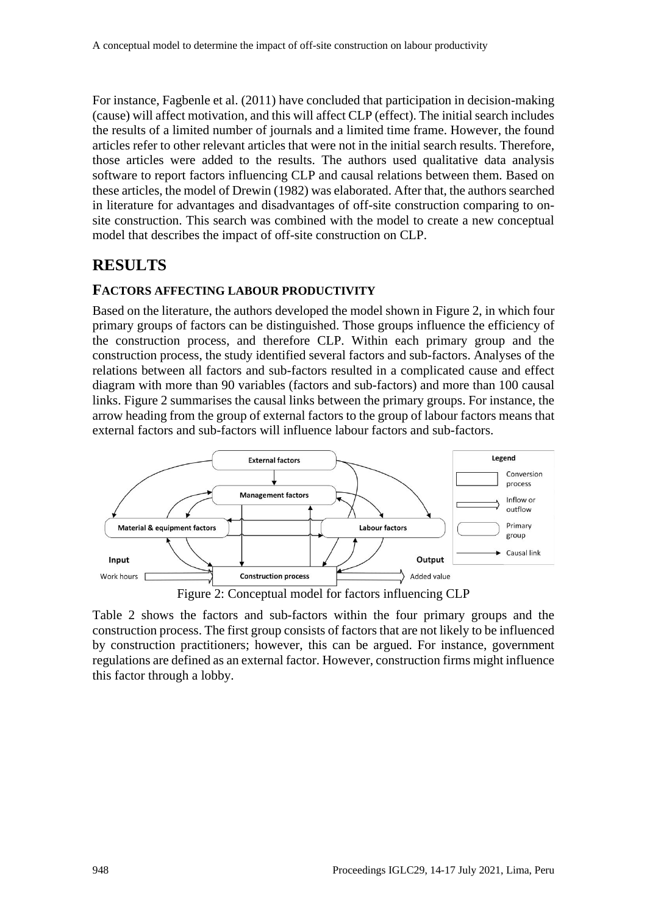For instance, Fagbenle et al. (2011) have concluded that participation in decision-making (cause) will affect motivation, and this will affect CLP (effect). The initial search includes the results of a limited number of journals and a limited time frame. However, the found articles refer to other relevant articles that were not in the initial search results. Therefore, those articles were added to the results. The authors used qualitative data analysis software to report factors influencing CLP and causal relations between them. Based on these articles, the model of Drewin (1982) was elaborated. After that, the authors searched in literature for advantages and disadvantages of off-site construction comparing to onsite construction. This search was combined with the model to create a new conceptual model that describes the impact of off-site construction on CLP.

## **RESULTS**

#### **FACTORS AFFECTING LABOUR PRODUCTIVITY**

Based on the literature, the authors developed the model shown in [Figure 2,](#page-3-0) in which four primary groups of factors can be distinguished. Those groups influence the efficiency of the construction process, and therefore CLP. Within each primary group and the construction process, the study identified several factors and sub-factors. Analyses of the relations between all factors and sub-factors resulted in a complicated cause and effect diagram with more than 90 variables (factors and sub-factors) and more than 100 causal links. [Figure 2](#page-3-0) summarises the causal links between the primary groups. For instance, the arrow heading from the group of external factors to the group of labour factors means that external factors and sub-factors will influence labour factors and sub-factors.



Figure 2: Conceptual model for factors influencing CLP

<span id="page-3-0"></span>[Table 2](#page-4-0) shows the factors and sub-factors within the four primary groups and the construction process. The first group consists of factors that are not likely to be influenced by construction practitioners; however, this can be argued. For instance, government regulations are defined as an external factor. However, construction firms might influence this factor through a lobby.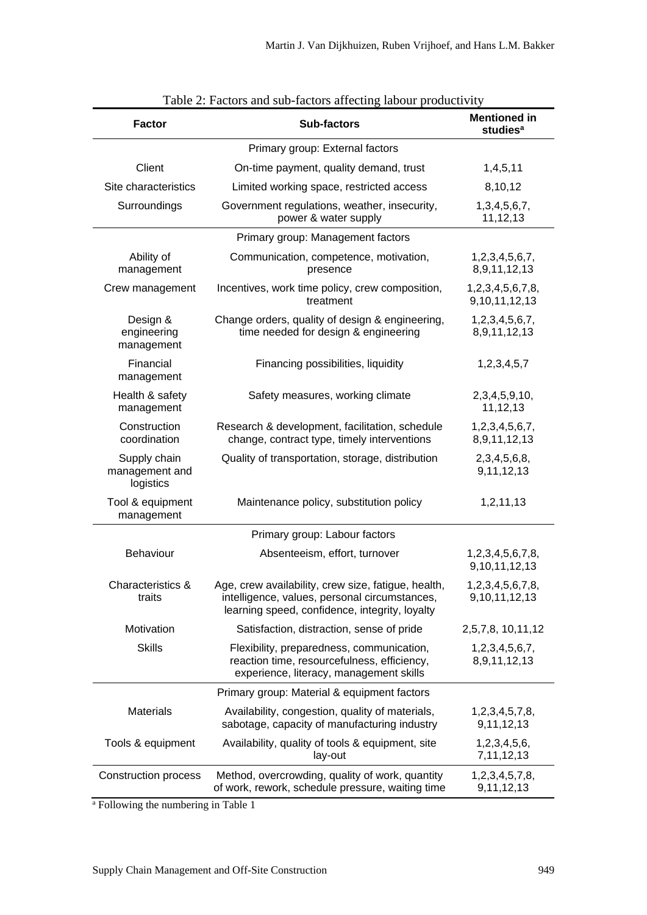<span id="page-4-0"></span>

| <b>Factor</b>                               | <b>Sub-factors</b>                                                                                                                                     | <b>Mentioned in</b><br>studies <sup>a</sup> |
|---------------------------------------------|--------------------------------------------------------------------------------------------------------------------------------------------------------|---------------------------------------------|
|                                             | Primary group: External factors                                                                                                                        |                                             |
| Client                                      | On-time payment, quality demand, trust                                                                                                                 | 1,4,5,11                                    |
| Site characteristics                        | Limited working space, restricted access                                                                                                               | 8,10,12                                     |
| Surroundings                                | Government regulations, weather, insecurity,<br>power & water supply                                                                                   | 1, 3, 4, 5, 6, 7,<br>11,12,13               |
|                                             | Primary group: Management factors                                                                                                                      |                                             |
| Ability of<br>management                    | Communication, competence, motivation,<br>presence                                                                                                     | 1,2,3,4,5,6,7,<br>8,9,11,12,13              |
| Crew management                             | Incentives, work time policy, crew composition,<br>treatment                                                                                           | 1,2,3,4,5,6,7,8,<br>9,10,11,12,13           |
| Design &<br>engineering<br>management       | Change orders, quality of design & engineering,<br>time needed for design & engineering                                                                | 1,2,3,4,5,6,7,<br>8,9,11,12,13              |
| Financial<br>management                     | Financing possibilities, liquidity                                                                                                                     | 1,2,3,4,5,7                                 |
| Health & safety<br>management               | Safety measures, working climate                                                                                                                       | 2, 3, 4, 5, 9, 10,<br>11,12,13              |
| Construction<br>coordination                | Research & development, facilitation, schedule<br>change, contract type, timely interventions                                                          | 1,2,3,4,5,6,7,<br>8,9,11,12,13              |
| Supply chain<br>management and<br>logistics | Quality of transportation, storage, distribution                                                                                                       | 2,3,4,5,6,8,<br>9,11,12,13                  |
| Tool & equipment<br>management              | Maintenance policy, substitution policy                                                                                                                | 1,2,11,13                                   |
|                                             | Primary group: Labour factors                                                                                                                          |                                             |
| Behaviour                                   | Absenteeism, effort, turnover                                                                                                                          | 1,2,3,4,5,6,7,8,<br>9, 10, 11, 12, 13       |
| Characteristics &<br>traits                 | Age, crew availability, crew size, fatigue, health,<br>intelligence, values, personal circumstances,<br>learning speed, confidence, integrity, loyalty | 1,2,3,4,5,6,7,8,<br>9,10,11,12,13           |
| Motivation                                  | Satisfaction, distraction, sense of pride                                                                                                              | 2,5,7,8, 10,11,12                           |
| <b>Skills</b>                               | Flexibility, preparedness, communication,<br>reaction time, resourcefulness, efficiency,<br>experience, literacy, management skills                    | 1,2,3,4,5,6,7,<br>8,9,11,12,13              |
|                                             | Primary group: Material & equipment factors                                                                                                            |                                             |
| <b>Materials</b>                            | Availability, congestion, quality of materials,<br>sabotage, capacity of manufacturing industry                                                        | 1, 2, 3, 4, 5, 7, 8,<br>9,11,12,13          |
| Tools & equipment                           | Availability, quality of tools & equipment, site<br>lay-out                                                                                            | 1,2,3,4,5,6,<br>7, 11, 12, 13               |
| <b>Construction process</b>                 | Method, overcrowding, quality of work, quantity<br>of work, rework, schedule pressure, waiting time                                                    | 1,2,3,4,5,7,8,<br>9,11,12,13                |

|  |  |  | Table 2: Factors and sub-factors affecting labour productivity |  |  |
|--|--|--|----------------------------------------------------------------|--|--|
|  |  |  |                                                                |  |  |

<sup>a</sup> Following the numbering in Table 1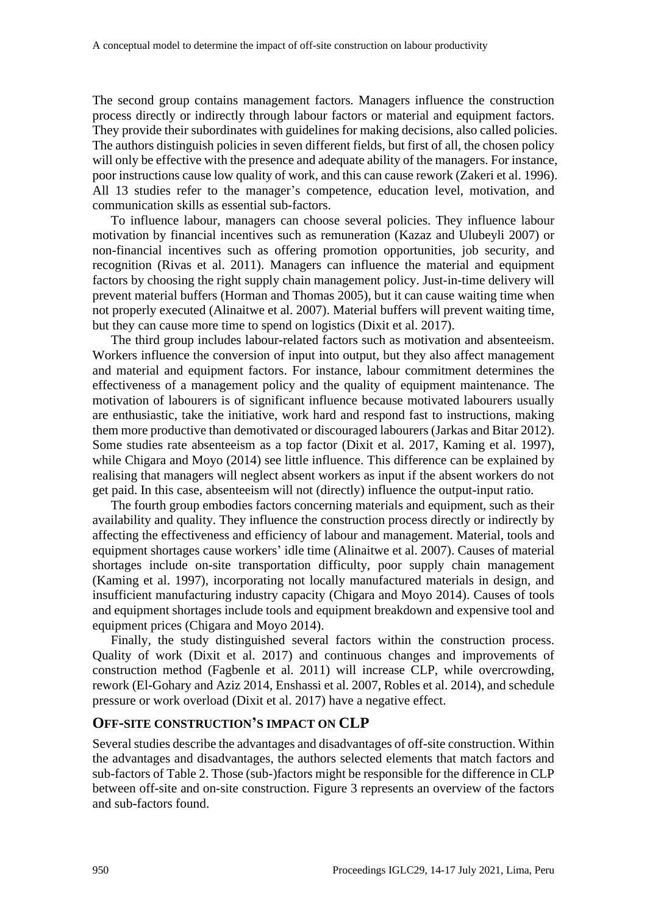The second group contains management factors. Managers influence the construction process directly or indirectly through labour factors or material and equipment factors. They provide their subordinates with guidelines for making decisions, also called policies. The authors distinguish policies in seven different fields, but first of all, the chosen policy will only be effective with the presence and adequate ability of the managers. For instance, poor instructions cause low quality of work, and this can cause rework (Zakeri et al. 1996). All 13 studies refer to the manager's competence, education level, motivation, and communication skills as essential sub-factors.

To influence labour, managers can choose several policies. They influence labour motivation by financial incentives such as remuneration (Kazaz and Ulubeyli 2007) or non-financial incentives such as offering promotion opportunities, job security, and recognition (Rivas et al. 2011). Managers can influence the material and equipment factors by choosing the right supply chain management policy. Just-in-time delivery will prevent material buffers (Horman and Thomas 2005), but it can cause waiting time when not properly executed (Alinaitwe et al. 2007). Material buffers will prevent waiting time, but they can cause more time to spend on logistics (Dixit et al. 2017).

The third group includes labour-related factors such as motivation and absenteeism. Workers influence the conversion of input into output, but they also affect management and material and equipment factors. For instance, labour commitment determines the effectiveness of a management policy and the quality of equipment maintenance. The motivation of labourers is of significant influence because motivated labourers usually are enthusiastic, take the initiative, work hard and respond fast to instructions, making them more productive than demotivated or discouraged labourers (Jarkas and Bitar 2012). Some studies rate absenteeism as a top factor (Dixit et al. 2017, Kaming et al. 1997), while Chigara and Moyo (2014) see little influence. This difference can be explained by realising that managers will neglect absent workers as input if the absent workers do not get paid. In this case, absenteeism will not (directly) influence the output-input ratio.

The fourth group embodies factors concerning materials and equipment, such as their availability and quality. They influence the construction process directly or indirectly by affecting the effectiveness and efficiency of labour and management. Material, tools and equipment shortages cause workers' idle time (Alinaitwe et al. 2007). Causes of material shortages include on-site transportation difficulty, poor supply chain management (Kaming et al. 1997), incorporating not locally manufactured materials in design, and insufficient manufacturing industry capacity (Chigara and Moyo 2014). Causes of tools and equipment shortages include tools and equipment breakdown and expensive tool and equipment prices (Chigara and Moyo 2014).

Finally, the study distinguished several factors within the construction process. Quality of work (Dixit et al. 2017) and continuous changes and improvements of construction method (Fagbenle et al. 2011) will increase CLP, while overcrowding, rework (El-Gohary and Aziz 2014, Enshassi et al. 2007, Robles et al. 2014), and schedule pressure or work overload (Dixit et al. 2017) have a negative effect.

#### **OFF-SITE CONSTRUCTION'S IMPACT ON CLP**

Several studies describe the advantages and disadvantages of off-site construction. Within the advantages and disadvantages, the authors selected elements that match factors and sub-factors of [Table 2.](#page-4-0) Those (sub-)factors might be responsible for the difference in CLP between off-site and on-site construction. [Figure 3](#page-6-0) represents an overview of the factors and sub-factors found.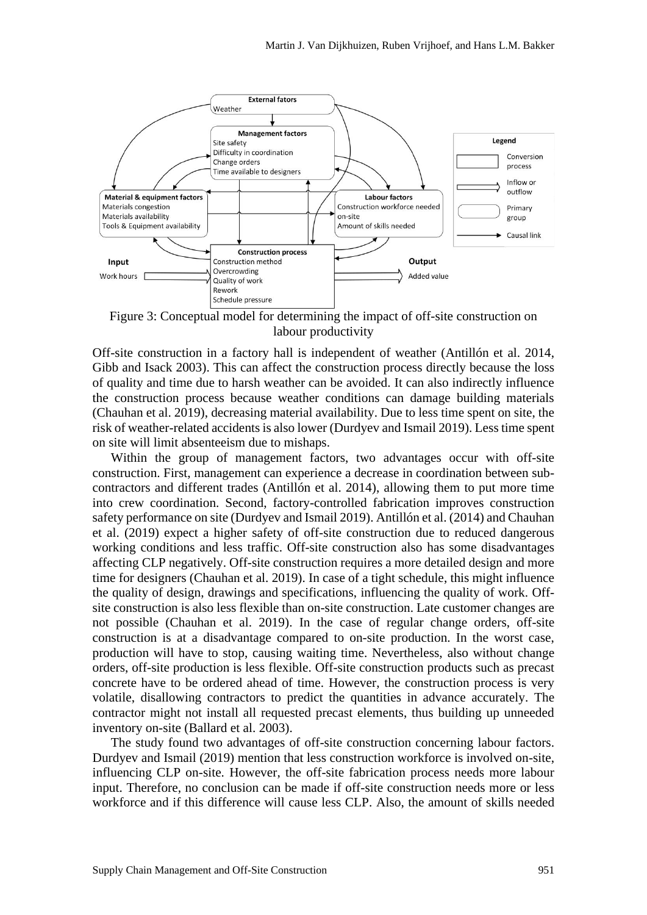

<span id="page-6-0"></span>Figure 3: Conceptual model for determining the impact of off-site construction on labour productivity

Off-site construction in a factory hall is independent of weather (Antillón et al. 2014, Gibb and Isack 2003). This can affect the construction process directly because the loss of quality and time due to harsh weather can be avoided. It can also indirectly influence the construction process because weather conditions can damage building materials (Chauhan et al. 2019), decreasing material availability. Due to less time spent on site, the risk of weather-related accidents is also lower (Durdyev and Ismail 2019). Less time spent on site will limit absenteeism due to mishaps.

Within the group of management factors, two advantages occur with off-site construction. First, management can experience a decrease in coordination between subcontractors and different trades (Antillón et al. 2014), allowing them to put more time into crew coordination. Second, factory-controlled fabrication improves construction safety performance on site (Durdyev and Ismail 2019). Antillón et al. (2014) and Chauhan et al. (2019) expect a higher safety of off-site construction due to reduced dangerous working conditions and less traffic. Off-site construction also has some disadvantages affecting CLP negatively. Off-site construction requires a more detailed design and more time for designers (Chauhan et al. 2019). In case of a tight schedule, this might influence the quality of design, drawings and specifications, influencing the quality of work. Offsite construction is also less flexible than on-site construction. Late customer changes are not possible (Chauhan et al. 2019). In the case of regular change orders, off-site construction is at a disadvantage compared to on-site production. In the worst case, production will have to stop, causing waiting time. Nevertheless, also without change orders, off-site production is less flexible. Off-site construction products such as precast concrete have to be ordered ahead of time. However, the construction process is very volatile, disallowing contractors to predict the quantities in advance accurately. The contractor might not install all requested precast elements, thus building up unneeded inventory on-site (Ballard et al. 2003).

The study found two advantages of off-site construction concerning labour factors. Durdyev and Ismail (2019) mention that less construction workforce is involved on-site, influencing CLP on-site. However, the off-site fabrication process needs more labour input. Therefore, no conclusion can be made if off-site construction needs more or less workforce and if this difference will cause less CLP. Also, the amount of skills needed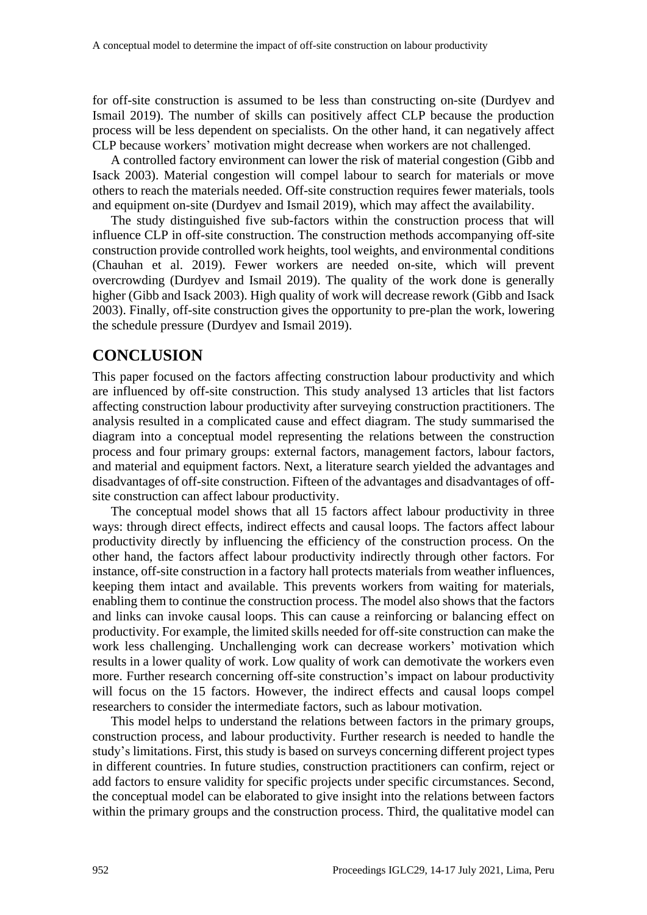for off-site construction is assumed to be less than constructing on-site (Durdyev and Ismail 2019). The number of skills can positively affect CLP because the production process will be less dependent on specialists. On the other hand, it can negatively affect CLP because workers' motivation might decrease when workers are not challenged.

A controlled factory environment can lower the risk of material congestion (Gibb and Isack 2003). Material congestion will compel labour to search for materials or move others to reach the materials needed. Off-site construction requires fewer materials, tools and equipment on-site (Durdyev and Ismail 2019), which may affect the availability.

The study distinguished five sub-factors within the construction process that will influence CLP in off-site construction. The construction methods accompanying off-site construction provide controlled work heights, tool weights, and environmental conditions (Chauhan et al. 2019). Fewer workers are needed on-site, which will prevent overcrowding (Durdyev and Ismail 2019). The quality of the work done is generally higher (Gibb and Isack 2003). High quality of work will decrease rework (Gibb and Isack 2003). Finally, off-site construction gives the opportunity to pre-plan the work, lowering the schedule pressure (Durdyev and Ismail 2019).

### **CONCLUSION**

This paper focused on the factors affecting construction labour productivity and which are influenced by off-site construction. This study analysed 13 articles that list factors affecting construction labour productivity after surveying construction practitioners. The analysis resulted in a complicated cause and effect diagram. The study summarised the diagram into a conceptual model representing the relations between the construction process and four primary groups: external factors, management factors, labour factors, and material and equipment factors. Next, a literature search yielded the advantages and disadvantages of off-site construction. Fifteen of the advantages and disadvantages of offsite construction can affect labour productivity.

The conceptual model shows that all 15 factors affect labour productivity in three ways: through direct effects, indirect effects and causal loops. The factors affect labour productivity directly by influencing the efficiency of the construction process. On the other hand, the factors affect labour productivity indirectly through other factors. For instance, off-site construction in a factory hall protects materials from weather influences, keeping them intact and available. This prevents workers from waiting for materials, enabling them to continue the construction process. The model also shows that the factors and links can invoke causal loops. This can cause a reinforcing or balancing effect on productivity. For example, the limited skills needed for off-site construction can make the work less challenging. Unchallenging work can decrease workers' motivation which results in a lower quality of work. Low quality of work can demotivate the workers even more. Further research concerning off-site construction's impact on labour productivity will focus on the 15 factors. However, the indirect effects and causal loops compel researchers to consider the intermediate factors, such as labour motivation.

This model helps to understand the relations between factors in the primary groups, construction process, and labour productivity. Further research is needed to handle the study's limitations. First, this study is based on surveys concerning different project types in different countries. In future studies, construction practitioners can confirm, reject or add factors to ensure validity for specific projects under specific circumstances. Second, the conceptual model can be elaborated to give insight into the relations between factors within the primary groups and the construction process. Third, the qualitative model can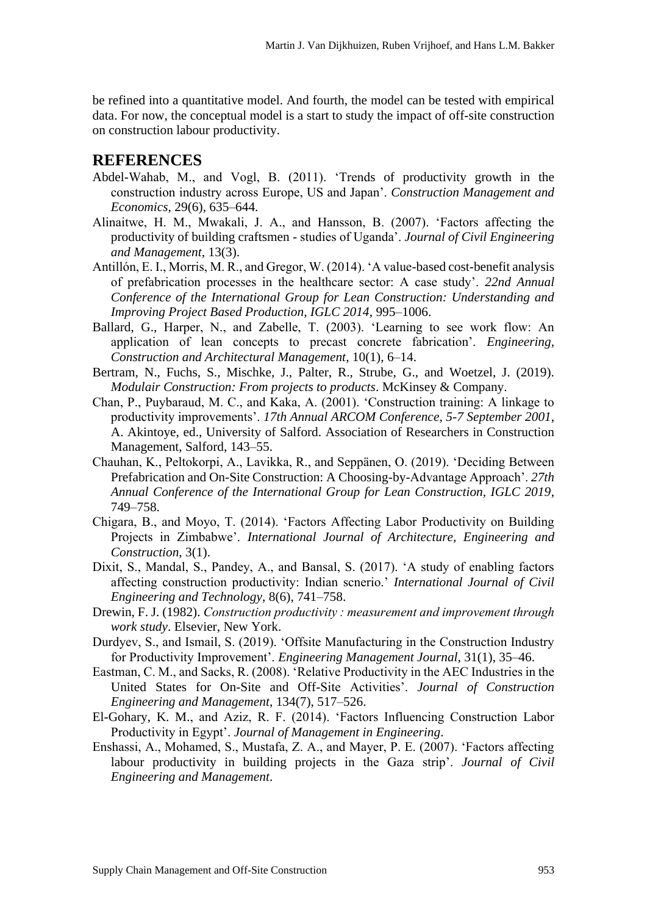be refined into a quantitative model. And fourth, the model can be tested with empirical data. For now, the conceptual model is a start to study the impact of off-site construction on construction labour productivity.

## **REFERENCES**

- Abdel-Wahab, M., and Vogl, B. (2011). 'Trends of productivity growth in the construction industry across Europe, US and Japan'. *Construction Management and Economics*, 29(6), 635–644.
- Alinaitwe, H. M., Mwakali, J. A., and Hansson, B. (2007). 'Factors affecting the productivity of building craftsmen - studies of Uganda'. *Journal of Civil Engineering and Management*, 13(3).
- Antillón, E. I., Morris, M. R., and Gregor, W. (2014). 'A value-based cost-benefit analysis of prefabrication processes in the healthcare sector: A case study'. *22nd Annual Conference of the International Group for Lean Construction: Understanding and Improving Project Based Production, IGLC 2014*, 995–1006.
- Ballard, G., Harper, N., and Zabelle, T. (2003). 'Learning to see work flow: An application of lean concepts to precast concrete fabrication'. *Engineering, Construction and Architectural Management*, 10(1), 6–14.
- Bertram, N., Fuchs, S., Mischke, J., Palter, R., Strube, G., and Woetzel, J. (2019). *Modulair Construction: From projects to products*. McKinsey & Company.
- Chan, P., Puybaraud, M. C., and Kaka, A. (2001). 'Construction training: A linkage to productivity improvements'. *17th Annual ARCOM Conference, 5-7 September 2001*, A. Akintoye, ed., University of Salford. Association of Researchers in Construction Management, Salford, 143–55.
- Chauhan, K., Peltokorpi, A., Lavikka, R., and Seppänen, O. (2019). 'Deciding Between Prefabrication and On-Site Construction: A Choosing-by-Advantage Approach'. *27th Annual Conference of the International Group for Lean Construction, IGLC 2019*, 749–758.
- Chigara, B., and Moyo, T. (2014). 'Factors Affecting Labor Productivity on Building Projects in Zimbabwe'. *International Journal of Architecture, Engineering and Construction*, 3(1).
- Dixit, S., Mandal, S., Pandey, A., and Bansal, S. (2017). 'A study of enabling factors affecting construction productivity: Indian scnerio.' *International Journal of Civil Engineering and Technology*, 8(6), 741–758.
- Drewin, F. J. (1982). *Construction productivity : measurement and improvement through work study*. Elsevier, New York.
- Durdyev, S., and Ismail, S. (2019). 'Offsite Manufacturing in the Construction Industry for Productivity Improvement'. *Engineering Management Journal*, 31(1), 35–46.
- Eastman, C. M., and Sacks, R. (2008). 'Relative Productivity in the AEC Industries in the United States for On-Site and Off-Site Activities'. *Journal of Construction Engineering and Management*, 134(7), 517–526.
- El-Gohary, K. M., and Aziz, R. F. (2014). 'Factors Influencing Construction Labor Productivity in Egypt'. *Journal of Management in Engineering*.
- Enshassi, A., Mohamed, S., Mustafa, Z. A., and Mayer, P. E. (2007). 'Factors affecting labour productivity in building projects in the Gaza strip'. *Journal of Civil Engineering and Management*.